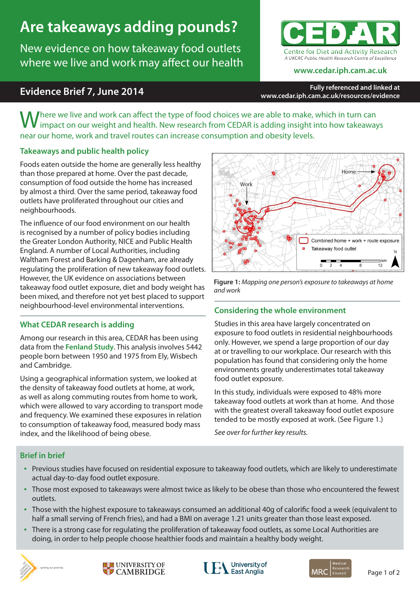# **Are takeaways adding pounds?**

New evidence on how takeaway food outlets where we live and work may affect our health



# **Evidence Brief 7, June 2014**

**www.cedar.iph.cam.ac.uk**

**Fully referenced and linked at www.cedar.iph.cam.ac.uk/resources/evidence**

Where we live and work can affect the type of food choices we are able to make, which in turn can impact on our weight and health. New research from CEDAR is adding insight into how takeaways near our home, work and travel routes can increase consumption and obesity levels.

## **Takeaways and public health policy**

Foods eaten outside the home are generally less healthy than those prepared at home. Over the past decade, consumption of food outside the home has increased by almost a third. Over the same period, takeaway food outlets have proliferated throughout our cities and neighbourhoods.

The influence of our food environment on our health is recognised by a number of policy bodies including the Greater London Authority, NICE and Public Health England. A number of Local Authorities, including Waltham Forest and Barking & Dagenham, are already regulating the proliferation of new takeaway food outlets. However, the UK evidence on associations between takeaway food outlet exposure, diet and body weight has been mixed, and therefore not yet best placed to support neighbourhood-level environmental interventions.

## **What CEDAR research is adding**

Among our research in this area, CEDAR has been using data from the **Fenland Study**. This analysis involves 5442 people born between 1950 and 1975 from Ely, Wisbech and Cambridge.

Using a geographical information system, we looked at the density of takeaway food outlets at home, at work, as well as along commuting routes from home to work, which were allowed to vary according to transport mode and frequency. We examined these exposures in relation to consumption of takeaway food, measured body mass index, and the likelihood of being obese.



**Figure 1:** *Mapping one person's exposure to takeaways at home and work*

# **Considering the whole environment**

Studies in this area have largely concentrated on exposure to food outlets in residential neighbourhoods only. However, we spend a large proportion of our day at or travelling to our workplace. Our research with this population has found that considering only the home environments greatly underestimates total takeaway food outlet exposure.

In this study, individuals were exposed to 48% more takeaway food outlets at work than at home. And those with the greatest overall takeaway food outlet exposure tended to be mostly exposed at work. (See Figure 1.)

*See over for further key results.*

## **Brief in brief**

- Previous studies have focused on residential exposure to takeaway food outlets, which are likely to underestimate actual day-to-day food outlet exposure.
- Those most exposed to takeaways were almost twice as likely to be obese than those who encountered the fewest outlets.
- Those with the highest exposure to takeaways consumed an additional 40g of calorific food a week (equivalent to half a small serving of French fries), and had a BMI on average 1.21 units greater than those least exposed.
- • There is a strong case for regulating the proliferation of takeaway food outlets, as some Local Authorities are doing, in order to help people choose healthier foods and maintain a healthy body weight.